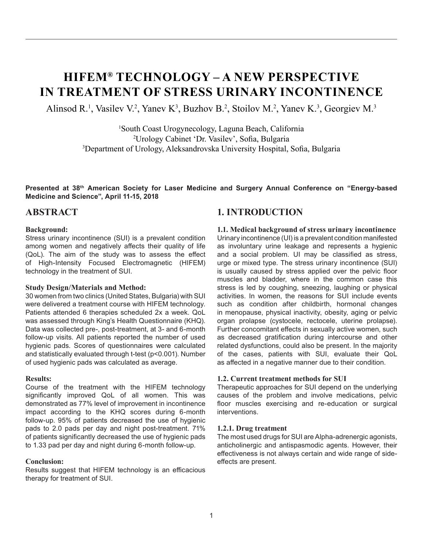# **HIFEM® TECHNOLOGY – A NEW PERSPECTIVE IN TREATMENT OF STRESS URINARY INCONTINENCE**

Alinsod R.<sup>1</sup>, Vasilev V.<sup>2</sup>, Yanev K<sup>3</sup>, Buzhov B.<sup>2</sup>, Stoilov M.<sup>2</sup>, Yanev K.<sup>3</sup>, Georgiev M.<sup>3</sup>

1 South Coast Urogynecology, Laguna Beach, California 2 Urology Cabinet 'Dr. Vasilev', Sofia, Bulgaria 3 Department of Urology, Aleksandrovska University Hospital, Sofia, Bulgaria

**Presented at 38th American Society for Laser Medicine and Surgery Annual Conference on "Energy-based Medicine and Science", April 11-15, 2018**

# **ABSTRACT**

#### **Background:**

Stress urinary incontinence (SUI) is a prevalent condition among women and negatively affects their quality of life (QoL). The aim of the study was to assess the effect of High-Intensity Focused Electromagnetic (HIFEM) technology in the treatment of SUI.

#### **Study Design/Materials and Method:**

30 women from two clinics (United States, Bulgaria) with SUI were delivered a treatment course with HIFEM technology. Patients attended 6 therapies scheduled 2x a week. QoL was assessed through King's Health Questionnaire (KHQ). Data was collected pre-, post-treatment, at 3- and 6-month follow-up visits. All patients reported the number of used hygienic pads. Scores of questionnaires were calculated and statistically evaluated through t-test (p<0.001). Number of used hygienic pads was calculated as average.

#### **Results:**

Course of the treatment with the HIFEM technology significantly improved QoL of all women. This was demonstrated as 77% level of improvement in incontinence impact according to the KHQ scores during 6-month follow-up. 95% of patients decreased the use of hygienic pads to 2.0 pads per day and night post-treatment. 71% of patients significantly decreased the use of hygienic pads to 1.33 pad per day and night during 6-month follow-up.

#### **Conclusion:**

Results suggest that HIFEM technology is an efficacious therapy for treatment of SUI.

# **1. INTRODUCTION**

**1.1. Medical background of stress urinary incontinence** Urinary incontinence (UI) is a prevalent condition manifested as involuntary urine leakage and represents a hygienic and a social problem. UI may be classified as stress, urge or mixed type. The stress urinary incontinence (SUI) is usually caused by stress applied over the pelvic floor muscles and bladder, where in the common case this stress is led by coughing, sneezing, laughing or physical activities. In women, the reasons for SUI include events such as condition after childbirth, hormonal changes in menopause, physical inactivity, obesity, aging or pelvic organ prolapse (cystocele, rectocele, uterine prolapse). Further concomitant effects in sexually active women, such as decreased gratification during intercourse and other related dysfunctions, could also be present. In the majority of the cases, patients with SUI, evaluate their QoL as affected in a negative manner due to their condition.

#### **1.2. Current treatment methods for SUI**

Therapeutic approaches for SUI depend on the underlying causes of the problem and involve medications, pelvic floor muscles exercising and re-education or surgical interventions.

#### **1.2.1. Drug treatment**

The most used drugs for SUI are Alpha-adrenergic agonists, anticholinergic and antispasmodic agents. However, their effectiveness is not always certain and wide range of sideeffects are present.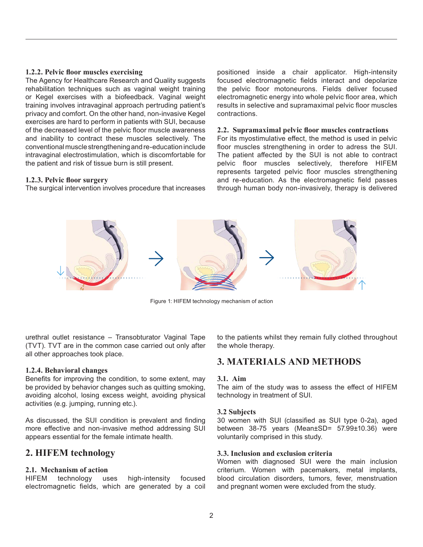#### **1.2.2. Pelvic floor muscles exercising**

The Agency for Healthcare Research and Quality suggests rehabilitation techniques such as vaginal weight training or Kegel exercises with a biofeedback. Vaginal weight training involves intravaginal approach pertruding patient's privacy and comfort. On the other hand, non-invasive Kegel exercises are hard to perform in patients with SUI, because of the decreased level of the pelvic floor muscle awareness and inability to contract these muscles selectively. The conventional muscle strengthening andre-education include intravaginal electrostimulation, which is discomfortable for the patient and risk of tissue burn is still present.

#### **1.2.3. Pelvic floor surgery**

The surgical intervention involves procedure that increases

positioned inside a chair applicator. High-intensity focused electromagnetic fields interact and depolarize the pelvic floor motoneurons. Fields deliver focused electromagnetic energy into whole pelvic floor area, which results in selective and supramaximal pelvic floor muscles contractions.

#### **2.2. Supramaximal pelvic floor muscles contractions**

For its myostimulative effect, the method is used in pelvic floor muscles strengthening in order to adress the SUI. The patient affected by the SUI is not able to contract pelvic floor muscles selectively, therefore HIFEM represents targeted pelvic floor muscles strengthening and re-education. As the electromagnetic field passes through human body non-invasively, therapy is delivered



Figure 1: HIFEM technology mechanism of action

urethral outlet resistance – Transobturator Vaginal Tape (TVT). TVT are in the common case carried out only after all other approaches took place.

#### **1.2.4. Behavioral changes**

Benefits for improving the condition, to some extent, may be provided by behavior changes such as quitting smoking, avoiding alcohol, losing excess weight, avoiding physical activities (e.g. jumping, running etc.).

As discussed, the SUI condition is prevalent and finding more effective and non-invasive method addressing SUI appears essential for the female intimate health.

# **2. HIFEM technology**

#### **2.1. Mechanism of action**

HIFEM technology uses high-intensity focused electromagnetic fields, which are generated by a coil to the patients whilst they remain fully clothed throughout the whole therapy.

### **3. MATERIALS AND METHODS**

#### **3.1. Aim**

The aim of the study was to assess the effect of HIFEM technology in treatment of SUI.

#### **3.2 Subjects**

30 women with SUI (classified as SUI type 0-2a), aged between 38-75 years (Mean±SD= 57.99±10.36) were voluntarily comprised in this study.

#### **3.3. Inclusion and exclusion criteria**

Women with diagnosed SUI were the main inclusion criterium. Women with pacemakers, metal implants, blood circulation disorders, tumors, fever, menstruation and pregnant women were excluded from the study.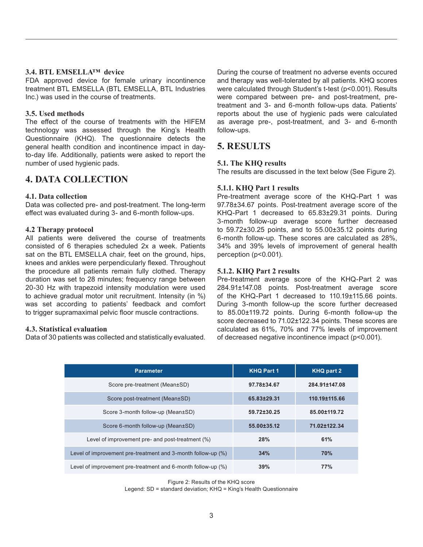#### **3.4. BTL EMSELLA™ device**

FDA approved device for female urinary incontinence treatment BTL EMSELLA (BTL EMSELLA, BTL Industries Inc.) was used in the course of treatments.

#### **3.5. Used methods**

The effect of the course of treatments with the HIFEM technology was assessed through the King's Health Questionnaire (KHQ). The questionnaire detects the general health condition and incontinence impact in dayto-day life. Additionally, patients were asked to report the number of used hygienic pads.

# **4. DATA COLLECTION**

#### **4.1. Data collection**

Data was collected pre- and post-treatment. The long-term effect was evaluated during 3- and 6-month follow-ups.

#### **4.2 Therapy protocol**

All patients were delivered the course of treatments consisted of 6 therapies scheduled 2x a week. Patients sat on the BTL EMSELLA chair, feet on the ground, hips, knees and ankles were perpendicularly flexed. Throughout the procedure all patients remain fully clothed. Therapy duration was set to 28 minutes; frequency range between 20-30 Hz with trapezoid intensity modulation were used to achieve gradual motor unit recruitment. Intensity (in %) was set according to patients' feedback and comfort to trigger supramaximal pelvic floor muscle contractions.

#### **4.3. Statistical evaluation**

Data of 30 patients was collected and statistically evaluated.

During the course of treatment no adverse events occured and therapy was well-tolerated by all patients. KHQ scores were calculated through Student's t-test (p<0.001). Results were compared between pre- and post-treatment, pretreatment and 3- and 6-month follow-ups data. Patients' reports about the use of hygienic pads were calculated as average pre-, post-treatment, and 3- and 6-month follow-ups.

# **5. RESULTS**

#### **5.1. The KHQ results**

The results are discussed in the text below (See Figure 2).

#### **5.1.1. KHQ Part 1 results**

Pre-treatment average score of the KHQ-Part 1 was 97.78±34.67 points. Post-treatment average score of the KHQ-Part 1 decreased to 65.83±29.31 points. During 3-month follow-up average score further decreased to  $59.72\pm30.25$  points, and to  $55.00\pm35.12$  points during 6-month follow-up. These scores are calculated as 28%, 34% and 39% levels of improvement of general health perception (p<0.001).

#### **5.1.2. KHQ Part 2 results**

Pre-treatment average score of the KHQ-Part 2 was 284.91±147.08 points. Post-treatment average score of the KHQ-Part 1 decreased to 110.19±115.66 points. During 3-month follow-up the score further decreased to 85.00±119.72 points. During 6-month follow-up the score decreased to 71.02±122.34 points. These scores are calculated as 61%, 70% and 77% levels of improvement of decreased negative incontinence impact (p<0.001).

| <b>Parameter</b>                                             | <b>KHQ Part 1</b> | <b>KHQ part 2</b> |
|--------------------------------------------------------------|-------------------|-------------------|
| Score pre-treatment (Mean±SD)                                | 97.78±34.67       | 284.91±147.08     |
| Score post-treatment (Mean±SD)                               | 65.83±29.31       | 110.19±115.66     |
| Score 3-month follow-up (Mean±SD)                            | 59.72±30.25       | 85.00±119.72      |
| Score 6-month follow-up (Mean±SD)                            | 55.00±35.12       | 71.02±122.34      |
| Level of improvement pre- and post-treatment (%)             | 28%               | 61%               |
| Level of improvement pre-treatment and 3-month follow-up (%) | 34%               | 70%               |
| Level of improvement pre-treatment and 6-month follow-up (%) | 39%               | 77%               |

Figure 2: Results of the KHQ score

Legend: SD = standard deviation; KHQ = King's Health Questionnaire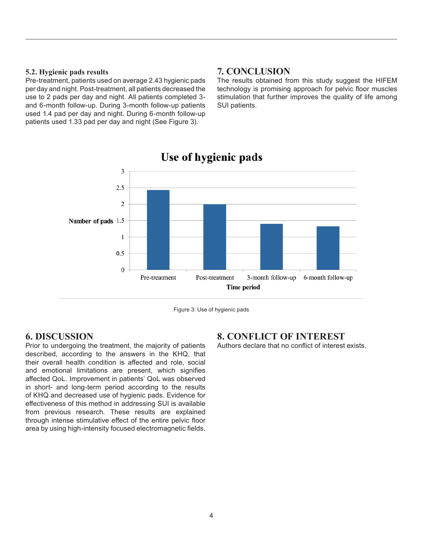#### **5.2. Hygienic pads results**

Pre-treatment, patients used on average 2.43 hygienic pads per day and night. Post-treatment, all patients decreased the use to 2 pads per day and night. All patients completed 3 and 6-month follow-up. During 3-month follow-up patients used 1.4 pad per day and night. During 6-month follow-up patients used 1.33 pad per day and night (See Figure 3).

# **7. CONCLUSION**

The results obtained from this study suggest the HIFEM technology is promising approach for pelvic floor muscles stimulation that further improves the quality of life among SUI patients.



# Use of hygienic pads

Figure 3: Use of hygienic pads

# **6. DISCUSSION**

Prior to undergoing the treatment, the majority of patients described, according to the answers in the KHQ, that their overall health condition is affected and role, social and emotional limitations are present, which signifies affected QoL. Improvement in patients' QoL was observed in short- and long-term period according to the results of KHQ and decreased use of hygienic pads. Evidence for effectiveness of this method in addressing SUI is available from previous research. These results are explained through intense stimulative effect of the entire pelvic floor area by using high-intensity focused electromagnetic fields.

# **8. CONFLICT OF INTEREST**

Authors declare that no conflict of interest exists.